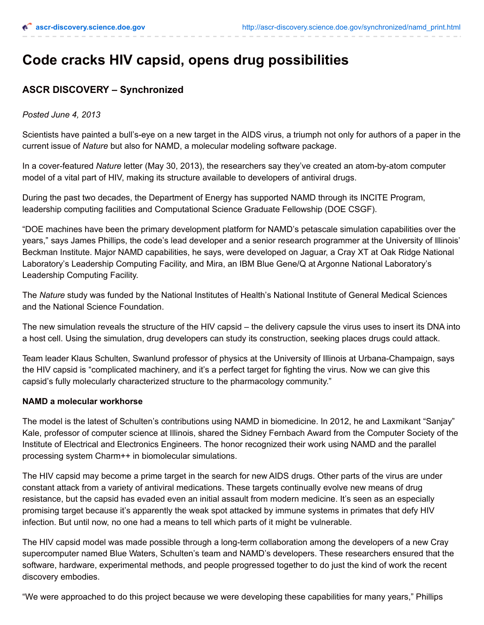# **Code cracks HIV capsid, opens drug possibilities**

# **ASCR DISCOVERY – Synchronized**

#### *Posted June 4, 2013*

Scientists have painted a bull's-eye on a new target in the AIDS virus, a triumph not only for authors of a paper in the current issue of *Nature* but also for NAMD, a molecular modeling software package.

In a cover-featured *Nature* letter (May 30, 2013), the researchers say they've created an atom-by-atom computer model of a vital part of HIV, making its structure available to developers of antiviral drugs.

During the past two decades, the Department of Energy has supported NAMD through its INCITE Program, leadership computing facilities and Computational Science Graduate Fellowship (DOE CSGF).

"DOE machines have been the primary development platform for NAMD's petascale simulation capabilities over the years," says James Phillips, the code's lead developer and a senior research programmer at the University of Illinois' Beckman Institute. Major NAMD capabilities, he says, were developed on Jaguar, a Cray XT at Oak Ridge National Laboratory's Leadership Computing Facility, and Mira, an IBM Blue Gene/Q at Argonne National Laboratory's Leadership Computing Facility.

The *Nature* study was funded by the National Institutes of Health's National Institute of General Medical Sciences and the National Science Foundation.

The new simulation reveals the structure of the HIV capsid – the delivery capsule the virus uses to insert its DNA into a host cell. Using the simulation, drug developers can study its construction, seeking places drugs could attack.

Team leader Klaus Schulten, Swanlund professor of physics at the University of Illinois at Urbana-Champaign, says the HIV capsid is "complicated machinery, and it's a perfect target for fighting the virus. Now we can give this capsid's fully molecularly characterized structure to the pharmacology community."

#### **NAMD a molecular workhorse**

The model is the latest of Schulten's contributions using NAMD in biomedicine. In 2012, he and Laxmikant "Sanjay" Kale, professor of computer science at Illinois, shared the Sidney Fernbach Award from the Computer Society of the Institute of Electrical and Electronics Engineers. The honor recognized their work using NAMD and the parallel processing system Charm++ in biomolecular simulations.

The HIV capsid may become a prime target in the search for new AIDS drugs. Other parts of the virus are under constant attack from a variety of antiviral medications. These targets continually evolve new means of drug resistance, but the capsid has evaded even an initial assault from modern medicine. It's seen as an especially promising target because it's apparently the weak spot attacked by immune systems in primates that defy HIV infection. But until now, no one had a means to tell which parts of it might be vulnerable.

The HIV capsid model was made possible through a long-term collaboration among the developers of a new Cray supercomputer named Blue Waters, Schulten's team and NAMD's developers. These researchers ensured that the software, hardware, experimental methods, and people progressed together to do just the kind of work the recent discovery embodies.

"We were approached to do this project because we were developing these capabilities for many years," Phillips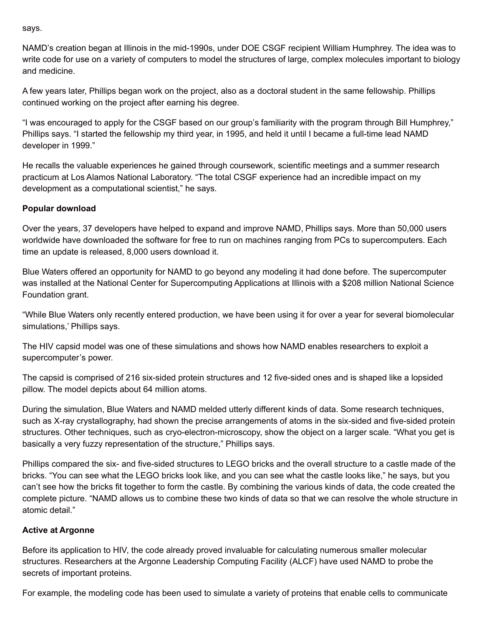says.

NAMD's creation began at Illinois in the mid-1990s, under DOE CSGF recipient William Humphrey. The idea was to write code for use on a variety of computers to model the structures of large, complex molecules important to biology and medicine.

A few years later, Phillips began work on the project, also as a doctoral student in the same fellowship. Phillips continued working on the project after earning his degree.

"I was encouraged to apply for the CSGF based on our group's familiarity with the program through Bill Humphrey," Phillips says. "I started the fellowship my third year, in 1995, and held it until I became a full-time lead NAMD developer in 1999."

He recalls the valuable experiences he gained through coursework, scientific meetings and a summer research practicum at Los Alamos National Laboratory. "The total CSGF experience had an incredible impact on my development as a computational scientist," he says.

## **Popular download**

Over the years, 37 developers have helped to expand and improve NAMD, Phillips says. More than 50,000 users worldwide have downloaded the software for free to run on machines ranging from PCs to supercomputers. Each time an update is released, 8,000 users download it.

Blue Waters offered an opportunity for NAMD to go beyond any modeling it had done before. The supercomputer was installed at the National Center for Supercomputing Applications at Illinois with a \$208 million National Science Foundation grant.

"While Blue Waters only recently entered production, we have been using it for over a year for several biomolecular simulations,' Phillips says.

The HIV capsid model was one of these simulations and shows how NAMD enables researchers to exploit a supercomputer's power.

The capsid is comprised of 216 six-sided protein structures and 12 five-sided ones and is shaped like a lopsided pillow. The model depicts about 64 million atoms.

During the simulation, Blue Waters and NAMD melded utterly different kinds of data. Some research techniques, such as X-ray crystallography, had shown the precise arrangements of atoms in the six-sided and five-sided protein structures. Other techniques, such as cryo-electron-microscopy, show the object on a larger scale. "What you get is basically a very fuzzy representation of the structure," Phillips says.

Phillips compared the six- and five-sided structures to LEGO bricks and the overall structure to a castle made of the bricks. "You can see what the LEGO bricks look like, and you can see what the castle looks like," he says, but you can't see how the bricks fit together to form the castle. By combining the various kinds of data, the code created the complete picture. "NAMD allows us to combine these two kinds of data so that we can resolve the whole structure in atomic detail."

## **Active at Argonne**

Before its application to HIV, the code already proved invaluable for calculating numerous smaller molecular structures. Researchers at the Argonne Leadership Computing Facility (ALCF) have used NAMD to probe the secrets of important proteins.

For example, the modeling code has been used to simulate a variety of proteins that enable cells to communicate